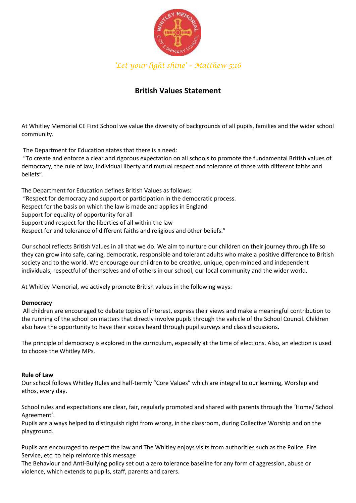

*'Let your light shine' – Matthew 5;16*

# **British Values Statement**

At Whitley Memorial CE First School we value the diversity of backgrounds of all pupils, families and the wider school community.

The Department for Education states that there is a need:

"To create and enforce a clear and rigorous expectation on all schools to promote the fundamental British values of democracy, the rule of law, individual liberty and mutual respect and tolerance of those with different faiths and beliefs".

The Department for Education defines British Values as follows: "Respect for democracy and support or participation in the democratic process. Respect for the basis on which the law is made and applies in England Support for equality of opportunity for all Support and respect for the liberties of all within the law Respect for and tolerance of different faiths and religious and other beliefs."

Our school reflects British Values in all that we do. We aim to nurture our children on their journey through life so they can grow into safe, caring, democratic, responsible and tolerant adults who make a positive difference to British society and to the world. We encourage our children to be creative, unique, open-minded and independent individuals, respectful of themselves and of others in our school, our local community and the wider world.

At Whitley Memorial, we actively promote British values in the following ways:

### **Democracy**

All children are encouraged to debate topics of interest, express their views and make a meaningful contribution to the running of the school on matters that directly involve pupils through the vehicle of the School Council. Children also have the opportunity to have their voices heard through pupil surveys and class discussions.

The principle of democracy is explored in the curriculum, especially at the time of elections. Also, an election is used to choose the Whitley MPs.

### **Rule of Law**

Our school follows Whitley Rules and half-termly "Core Values" which are integral to our learning, Worship and ethos, every day.

School rules and expectations are clear, fair, regularly promoted and shared with parents through the 'Home/ School Agreement'.

Pupils are always helped to distinguish right from wrong, in the classroom, during Collective Worship and on the playground.

Pupils are encouraged to respect the law and The Whitley enjoys visits from authorities such as the Police, Fire Service, etc. to help reinforce this message

The Behaviour and Anti-Bullying policy set out a zero tolerance baseline for any form of aggression, abuse or violence, which extends to pupils, staff, parents and carers.